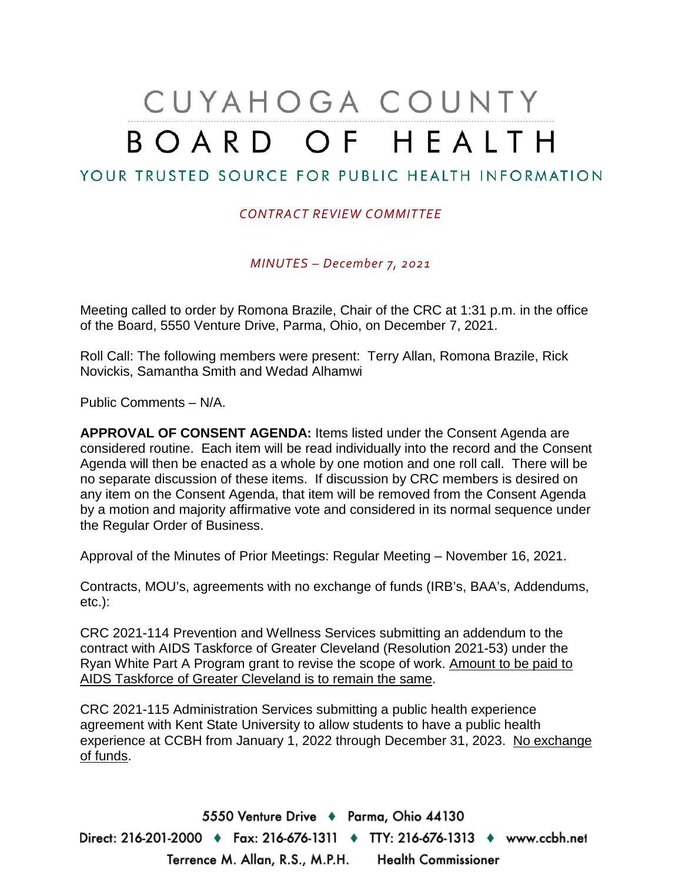## CUYAHOGA COUNTY BOARD OF HEALTH

## YOUR TRUSTED SOURCE FOR PUBLIC HEALTH INFORMATION

## *CONTRACT REVIEW COMMITTEE*

*MINUTES – December 7, 2021*

Meeting called to order by Romona Brazile, Chair of the CRC at 1:31 p.m. in the office of the Board, 5550 Venture Drive, Parma, Ohio, on December 7, 2021.

Roll Call: The following members were present: Terry Allan, Romona Brazile, Rick Novickis, Samantha Smith and Wedad Alhamwi

Public Comments – N/A.

**APPROVAL OF CONSENT AGENDA:** Items listed under the Consent Agenda are considered routine. Each item will be read individually into the record and the Consent Agenda will then be enacted as a whole by one motion and one roll call. There will be no separate discussion of these items. If discussion by CRC members is desired on any item on the Consent Agenda, that item will be removed from the Consent Agenda by a motion and majority affirmative vote and considered in its normal sequence under the Regular Order of Business.

Approval of the Minutes of Prior Meetings: Regular Meeting – November 16, 2021.

Contracts, MOU's, agreements with no exchange of funds (IRB's, BAA's, Addendums, etc.):

CRC 2021-114 Prevention and Wellness Services submitting an addendum to the contract with AIDS Taskforce of Greater Cleveland (Resolution 2021-53) under the Ryan White Part A Program grant to revise the scope of work. Amount to be paid to AIDS Taskforce of Greater Cleveland is to remain the same.

CRC 2021-115 Administration Services submitting a public health experience agreement with Kent State University to allow students to have a public health experience at CCBH from January 1, 2022 through December 31, 2023. No exchange of funds.

5550 Venture Drive + Parma, Ohio 44130 Direct: 216-201-2000 ♦ Fax: 216-676-1311 ♦ TTY: 216-676-1313 ♦ www.ccbh.net Terrence M. Allan, R.S., M.P.H. Health Commissioner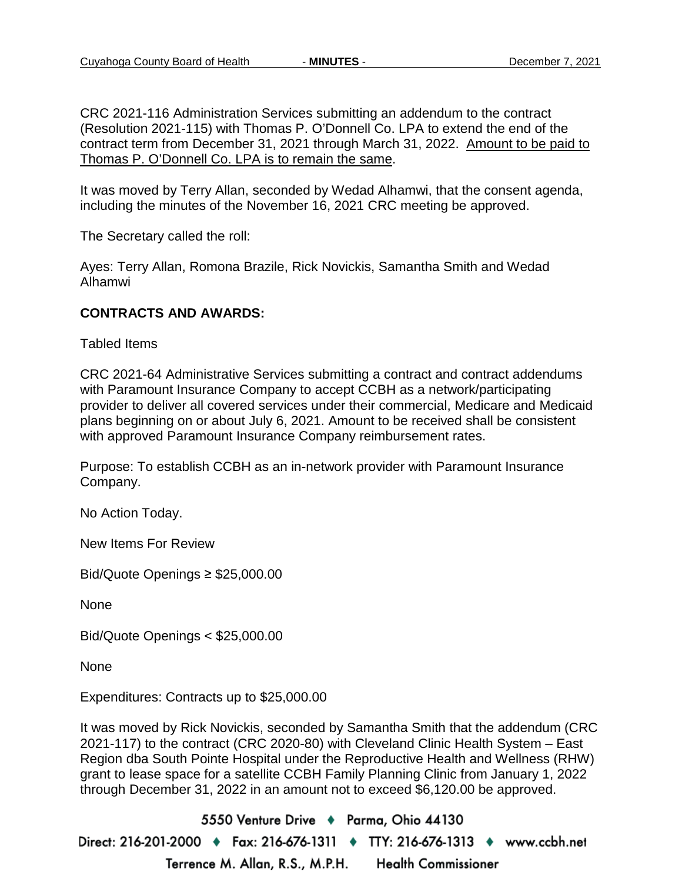CRC 2021-116 Administration Services submitting an addendum to the contract (Resolution 2021-115) with Thomas P. O'Donnell Co. LPA to extend the end of the contract term from December 31, 2021 through March 31, 2022. Amount to be paid to Thomas P. O'Donnell Co. LPA is to remain the same.

It was moved by Terry Allan, seconded by Wedad Alhamwi, that the consent agenda, including the minutes of the November 16, 2021 CRC meeting be approved.

The Secretary called the roll:

Ayes: Terry Allan, Romona Brazile, Rick Novickis, Samantha Smith and Wedad Alhamwi

## **CONTRACTS AND AWARDS:**

Tabled Items

CRC 2021-64 Administrative Services submitting a contract and contract addendums with Paramount Insurance Company to accept CCBH as a network/participating provider to deliver all covered services under their commercial, Medicare and Medicaid plans beginning on or about July 6, 2021. Amount to be received shall be consistent with approved Paramount Insurance Company reimbursement rates.

Purpose: To establish CCBH as an in-network provider with Paramount Insurance Company.

No Action Today.

New Items For Review

Bid/Quote Openings ≥ \$25,000.00

None

Bid/Quote Openings < \$25,000.00

None

Expenditures: Contracts up to \$25,000.00

It was moved by Rick Novickis, seconded by Samantha Smith that the addendum (CRC 2021-117) to the contract (CRC 2020-80) with Cleveland Clinic Health System – East Region dba South Pointe Hospital under the Reproductive Health and Wellness (RHW) grant to lease space for a satellite CCBH Family Planning Clinic from January 1, 2022 through December 31, 2022 in an amount not to exceed \$6,120.00 be approved.

5550 Venture Drive + Parma, Ohio 44130 Direct: 216-201-2000 ♦ Fax: 216-676-1311 ♦ TTY: 216-676-1313 ♦ www.ccbh.net Terrence M. Allan, R.S., M.P.H. **Health Commissioner**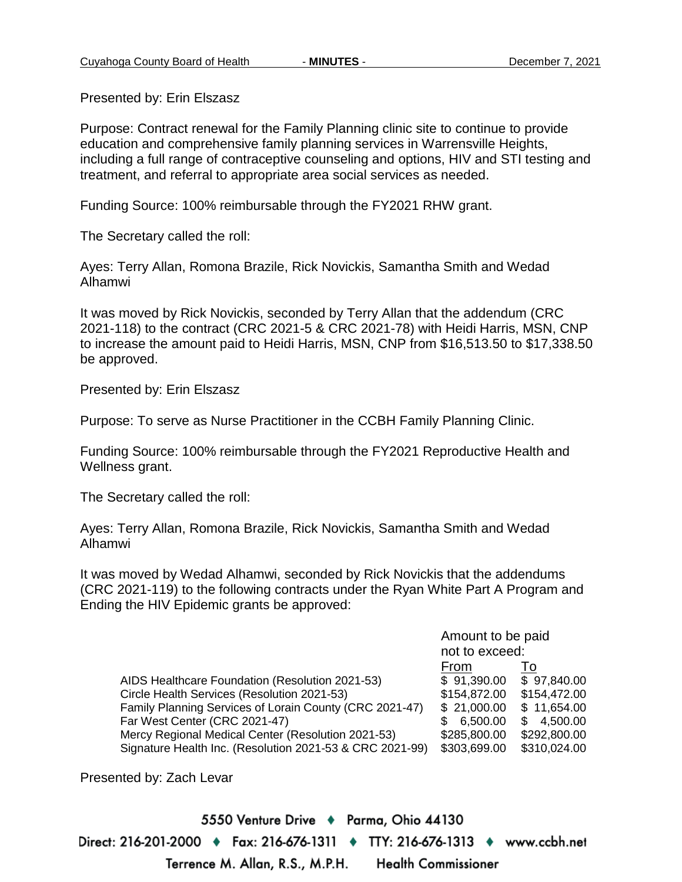Presented by: Erin Elszasz

Purpose: Contract renewal for the Family Planning clinic site to continue to provide education and comprehensive family planning services in Warrensville Heights, including a full range of contraceptive counseling and options, HIV and STI testing and treatment, and referral to appropriate area social services as needed.

Funding Source: 100% reimbursable through the FY2021 RHW grant.

The Secretary called the roll:

Ayes: Terry Allan, Romona Brazile, Rick Novickis, Samantha Smith and Wedad Alhamwi

It was moved by Rick Novickis, seconded by Terry Allan that the addendum (CRC 2021-118) to the contract (CRC 2021-5 & CRC 2021-78) with Heidi Harris, MSN, CNP to increase the amount paid to Heidi Harris, MSN, CNP from \$16,513.50 to \$17,338.50 be approved.

Presented by: Erin Elszasz

Purpose: To serve as Nurse Practitioner in the CCBH Family Planning Clinic.

Funding Source: 100% reimbursable through the FY2021 Reproductive Health and Wellness grant.

The Secretary called the roll:

Ayes: Terry Allan, Romona Brazile, Rick Novickis, Samantha Smith and Wedad Alhamwi

It was moved by Wedad Alhamwi, seconded by Rick Novickis that the addendums (CRC 2021-119) to the following contracts under the Ryan White Part A Program and Ending the HIV Epidemic grants be approved:

|                                                          | Amount to be paid |               |
|----------------------------------------------------------|-------------------|---------------|
|                                                          | not to exceed:    |               |
|                                                          | From              | 10            |
| AIDS Healthcare Foundation (Resolution 2021-53)          | \$91,390.00       | \$97,840.00   |
| Circle Health Services (Resolution 2021-53)              | \$154,872.00      | \$154,472.00  |
| Family Planning Services of Lorain County (CRC 2021-47)  | \$21,000.00       | \$11,654.00   |
| Far West Center (CRC 2021-47)                            | 6,500.00<br>\$.   | 4,500.00<br>S |
| Mercy Regional Medical Center (Resolution 2021-53)       | \$285,800.00      | \$292,800.00  |
| Signature Health Inc. (Resolution 2021-53 & CRC 2021-99) | \$303,699.00      | \$310,024.00  |

Presented by: Zach Levar

5550 Venture Drive + Parma, Ohio 44130 Direct: 216-201-2000 • Fax: 216-676-1311 • TTY: 216-676-1313 • www.ccbh.net Terrence M. Allan, R.S., M.P.H. **Health Commissioner**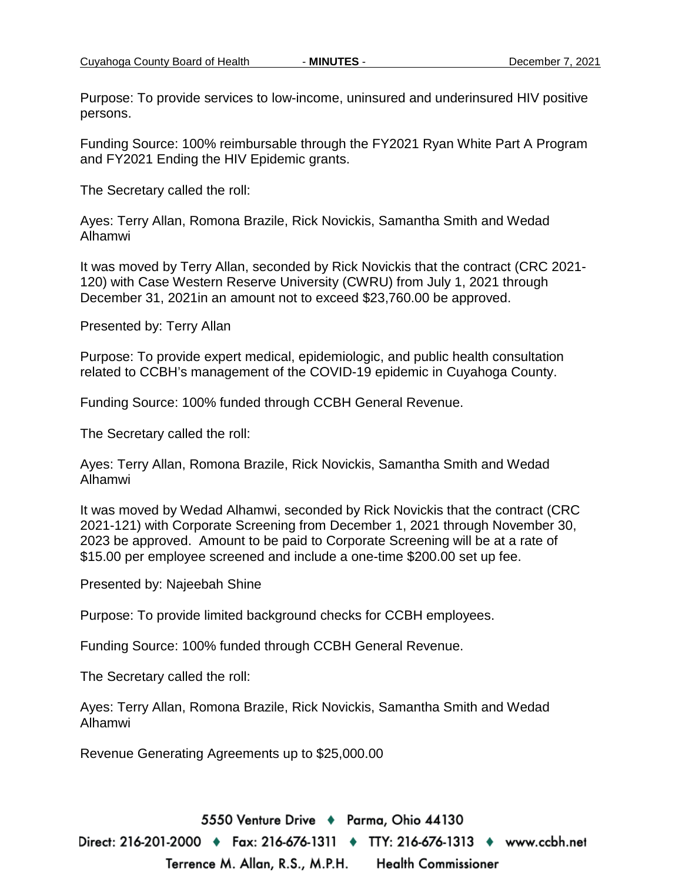Purpose: To provide services to low-income, uninsured and underinsured HIV positive persons.

Funding Source: 100% reimbursable through the FY2021 Ryan White Part A Program and FY2021 Ending the HIV Epidemic grants.

The Secretary called the roll:

Ayes: Terry Allan, Romona Brazile, Rick Novickis, Samantha Smith and Wedad Alhamwi

It was moved by Terry Allan, seconded by Rick Novickis that the contract (CRC 2021- 120) with Case Western Reserve University (CWRU) from July 1, 2021 through December 31, 2021in an amount not to exceed \$23,760.00 be approved.

Presented by: Terry Allan

Purpose: To provide expert medical, epidemiologic, and public health consultation related to CCBH's management of the COVID-19 epidemic in Cuyahoga County.

Funding Source: 100% funded through CCBH General Revenue.

The Secretary called the roll:

Ayes: Terry Allan, Romona Brazile, Rick Novickis, Samantha Smith and Wedad Alhamwi

It was moved by Wedad Alhamwi, seconded by Rick Novickis that the contract (CRC 2021-121) with Corporate Screening from December 1, 2021 through November 30, 2023 be approved. Amount to be paid to Corporate Screening will be at a rate of \$15.00 per employee screened and include a one-time \$200.00 set up fee.

Presented by: Najeebah Shine

Purpose: To provide limited background checks for CCBH employees.

Funding Source: 100% funded through CCBH General Revenue.

The Secretary called the roll:

Ayes: Terry Allan, Romona Brazile, Rick Novickis, Samantha Smith and Wedad Alhamwi

Revenue Generating Agreements up to \$25,000.00

5550 Venture Drive + Parma, Ohio 44130 Direct: 216-201-2000 ♦ Fax: 216-676-1311 ♦ TTY: 216-676-1313 ♦ www.ccbh.net Terrence M. Allan, R.S., M.P.H. **Health Commissioner**